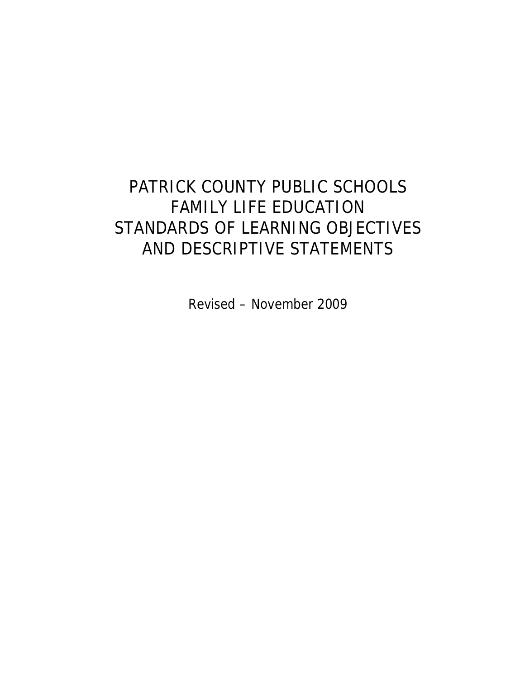# PATRICK COUNTY PUBLIC SCHOOLS FAMILY LIFE EDUCATION STANDARDS OF LEARNING OBJECTIVES AND DESCRIPTIVE STATEMENTS

Revised – November 2009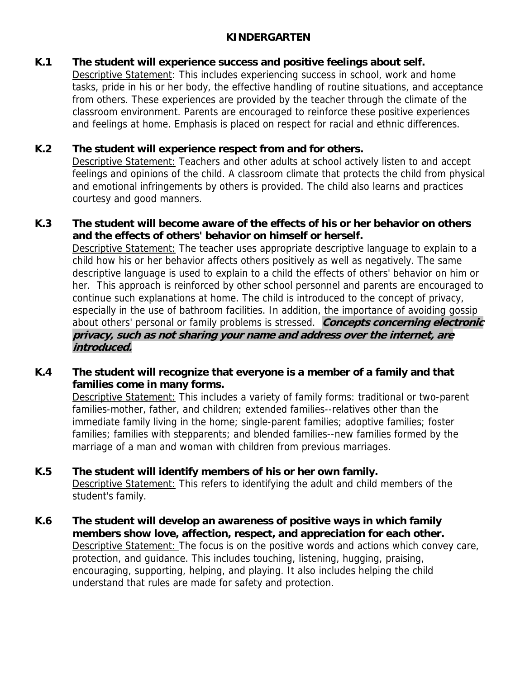## **KINDERGARTEN**

## **K.1 The student will experience success and positive feelings about self.**

 Descriptive Statement: This includes experiencing success in school, work and home tasks, pride in his or her body, the effective handling of routine situations, and acceptance from others. These experiences are provided by the teacher through the climate of the classroom environment. Parents are encouraged to reinforce these positive experiences and feelings at home. Emphasis is placed on respect for racial and ethnic differences.

## **K.2 The student will experience respect from and for others.**

Descriptive Statement: Teachers and other adults at school actively listen to and accept feelings and opinions of the child. A classroom climate that protects the child from physical and emotional infringements by others is provided. The child also learns and practices courtesy and good manners.

## **K.3 The student will become aware of the effects of his or her behavior on others and the effects of others' behavior on himself or herself.**

Descriptive Statement: The teacher uses appropriate descriptive language to explain to a child how his or her behavior affects others positively as well as negatively. The same descriptive language is used to explain to a child the effects of others' behavior on him or her. This approach is reinforced by other school personnel and parents are encouraged to continue such explanations at home. The child is introduced to the concept of privacy, especially in the use of bathroom facilities. In addition, the importance of avoiding gossip about others' personal or family problems is stressed. **Concepts concerning electronic privacy, such as not sharing your name and address over the internet, are introduced.** 

## **K.4 The student will recognize that everyone is a member of a family and that families come in many forms.**

 Descriptive Statement: This includes a variety of family forms: traditional or two-parent families-mother, father, and children; extended families--relatives other than the immediate family living in the home; single-parent families; adoptive families; foster families; families with stepparents; and blended families--new families formed by the marriage of a man and woman with children from previous marriages.

## **K.5 The student will identify members of his or her own family.**

 Descriptive Statement: This refers to identifying the adult and child members of the student's family.

**K.6 The student will develop an awareness of positive ways in which family members show love, affection, respect, and appreciation for each other.** Descriptive Statement: The focus is on the positive words and actions which convey care, protection, and guidance. This includes touching, listening, hugging, praising, encouraging, supporting, helping, and playing. It also includes helping the child understand that rules are made for safety and protection.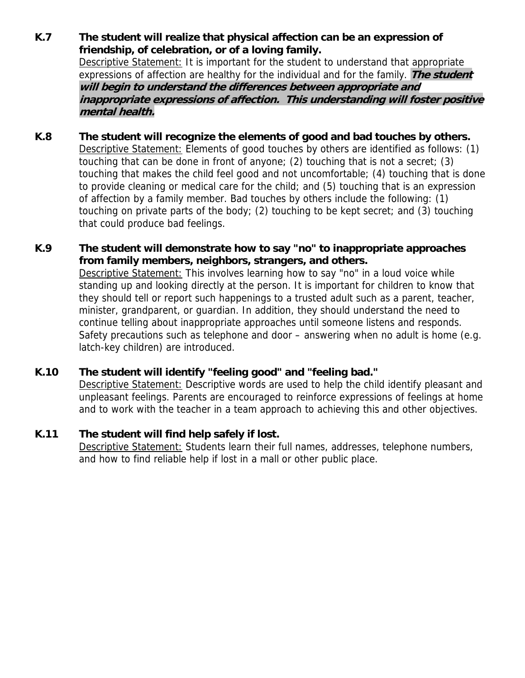- **K.7 The student will realize that physical affection can be an expression of friendship, of celebration, or of a loving family.** Descriptive Statement: It is important for the student to understand that appropriate expressions of affection are healthy for the individual and for the family. **The student will begin to understand the differences between appropriate and inappropriate expressions of affection. This understanding will foster positive mental health.**
- **K.8 The student will recognize the elements of good and bad touches by others.**  Descriptive Statement: Elements of good touches by others are identified as follows: (1) touching that can be done in front of anyone; (2) touching that is not a secret; (3) touching that makes the child feel good and not uncomfortable; (4) touching that is done to provide cleaning or medical care for the child; and (5) touching that is an expression of affection by a family member. Bad touches by others include the following: (1) touching on private parts of the body; (2) touching to be kept secret; and (3) touching that could produce bad feelings.

#### **K.9 The student will demonstrate how to say "no" to inappropriate approaches from family members, neighbors, strangers, and others.**

Descriptive Statement: This involves learning how to say "no" in a loud voice while standing up and looking directly at the person. It is important for children to know that they should tell or report such happenings to a trusted adult such as a parent, teacher, minister, grandparent, or guardian. In addition, they should understand the need to continue telling about inappropriate approaches until someone listens and responds. Safety precautions such as telephone and door – answering when no adult is home (e.g. latch-key children) are introduced.

## **K.10 The student will identify "feeling good" and "feeling bad."**

Descriptive Statement: Descriptive words are used to help the child identify pleasant and unpleasant feelings. Parents are encouraged to reinforce expressions of feelings at home and to work with the teacher in a team approach to achieving this and other objectives.

#### **K.11 The student will find help safely if lost.**

Descriptive Statement: Students learn their full names, addresses, telephone numbers, and how to find reliable help if lost in a mall or other public place.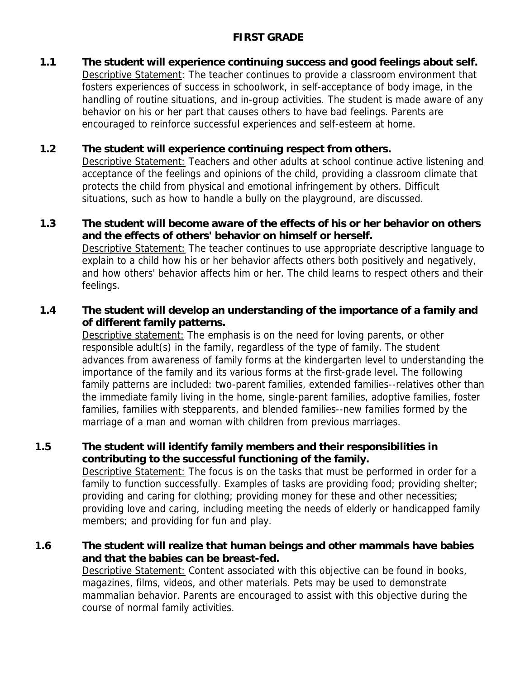## **FIRST GRADE**

**1.1 The student will experience continuing success and good feelings about self.**  Descriptive Statement: The teacher continues to provide a classroom environment that fosters experiences of success in schoolwork, in self-acceptance of body image, in the handling of routine situations, and in-group activities. The student is made aware of any behavior on his or her part that causes others to have bad feelings. Parents are encouraged to reinforce successful experiences and self-esteem at home.

## **1.2 The student will experience continuing respect from others.**

 Descriptive Statement: Teachers and other adults at school continue active listening and acceptance of the feelings and opinions of the child, providing a classroom climate that protects the child from physical and emotional infringement by others. Difficult situations, such as how to handle a bully on the playground, are discussed.

**1.3 The student will become aware of the effects of his or her behavior on others and the effects of others' behavior on himself or herself.**  Descriptive Statement: The teacher continues to use appropriate descriptive language to explain to a child how his or her behavior affects others both positively and negatively, and how others' behavior affects him or her. The child learns to respect others and their feelings.

## **1.4 The student will develop an understanding of the importance of a family and of different family patterns.**

Descriptive statement: The emphasis is on the need for loving parents, or other responsible adult(s) in the family, regardless of the type of family. The student advances from awareness of family forms at the kindergarten level to understanding the importance of the family and its various forms at the first-grade level. The following family patterns are included: two-parent families, extended families--relatives other than the immediate family living in the home, single-parent families, adoptive families, foster families, families with stepparents, and blended families--new families formed by the marriage of a man and woman with children from previous marriages.

**1.5 The student will identify family members and their responsibilities in contributing to the successful functioning of the family.** 

 Descriptive Statement: The focus is on the tasks that must be performed in order for a family to function successfully. Examples of tasks are providing food; providing shelter; providing and caring for clothing; providing money for these and other necessities; providing love and caring, including meeting the needs of elderly or handicapped family members; and providing for fun and play.

## **1.6 The student will realize that human beings and other mammals have babies and that the babies can be breast-fed.**

Descriptive Statement: Content associated with this objective can be found in books, magazines, films, videos, and other materials. Pets may be used to demonstrate mammalian behavior. Parents are encouraged to assist with this objective during the course of normal family activities.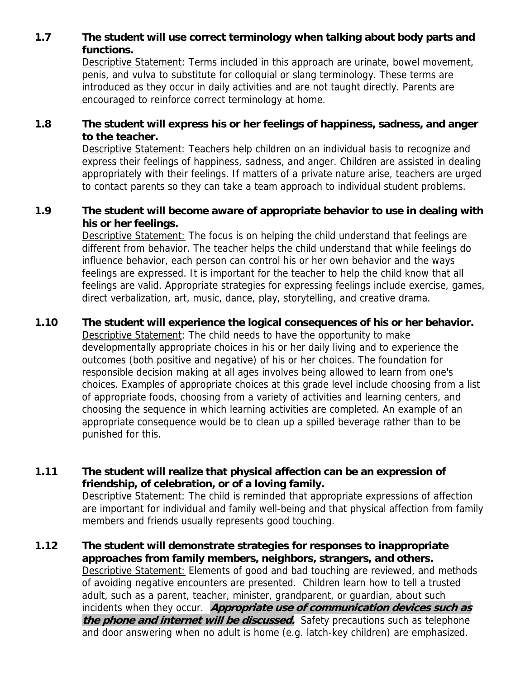## **1.7 The student will use correct terminology when talking about body parts and functions.**

Descriptive Statement: Terms included in this approach are urinate, bowel movement, penis, and vulva to substitute for colloquial or slang terminology. These terms are introduced as they occur in daily activities and are not taught directly. Parents are encouraged to reinforce correct terminology at home.

## **1.8 The student will express his or her feelings of happiness, sadness, and anger to the teacher.**

Descriptive Statement: Teachers help children on an individual basis to recognize and express their feelings of happiness, sadness, and anger. Children are assisted in dealing appropriately with their feelings. If matters of a private nature arise, teachers are urged to contact parents so they can take a team approach to individual student problems.

## **1.9 The student will become aware of appropriate behavior to use in dealing with his or her feelings.**

Descriptive Statement: The focus is on helping the child understand that feelings are different from behavior. The teacher helps the child understand that while feelings do influence behavior, each person can control his or her own behavior and the ways feelings are expressed. It is important for the teacher to help the child know that all feelings are valid. Appropriate strategies for expressing feelings include exercise, games, direct verbalization, art, music, dance, play, storytelling, and creative drama.

## **1.10 The student will experience the logical consequences of his or her behavior.**

Descriptive Statement: The child needs to have the opportunity to make developmentally appropriate choices in his or her daily living and to experience the outcomes (both positive and negative) of his or her choices. The foundation for responsible decision making at all ages involves being allowed to learn from one's choices. Examples of appropriate choices at this grade level include choosing from a list of appropriate foods, choosing from a variety of activities and learning centers, and choosing the sequence in which learning activities are completed. An example of an appropriate consequence would be to clean up a spilled beverage rather than to be punished for this.

#### **1.11 The student will realize that physical affection can be an expression of friendship, of celebration, or of a loving family.** Descriptive Statement: The child is reminded that appropriate expressions of affection are important for individual and family well-being and that physical affection from family

members and friends usually represents good touching.

**1.12 The student will demonstrate strategies for responses to inappropriate approaches from family members, neighbors, strangers, and others.** Descriptive Statement: Elements of good and bad touching are reviewed, and methods of avoiding negative encounters are presented. Children learn how to tell a trusted adult, such as a parent, teacher, minister, grandparent, or guardian, about such incidents when they occur. **Appropriate use of communication devices such as the phone and internet will be discussed.** Safety precautions such as telephone and door answering when no adult is home (e.g. latch-key children) are emphasized.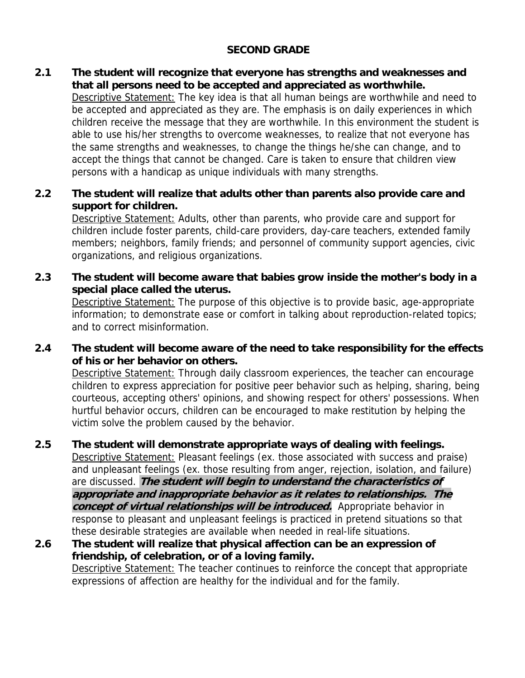## **SECOND GRADE**

**2.1 The student will recognize that everyone has strengths and weaknesses and that all persons need to be accepted and appreciated as worthwhile.**

Descriptive Statement: The key idea is that all human beings are worthwhile and need to be accepted and appreciated as they are. The emphasis is on daily experiences in which children receive the message that they are worthwhile. In this environment the student is able to use his/her strengths to overcome weaknesses, to realize that not everyone has the same strengths and weaknesses, to change the things he/she can change, and to accept the things that cannot be changed. Care is taken to ensure that children view persons with a handicap as unique individuals with many strengths.

**2.2 The student will realize that adults other than parents also provide care and support for children.** 

 Descriptive Statement: Adults, other than parents, who provide care and support for children include foster parents, child-care providers, day-care teachers, extended family members; neighbors, family friends; and personnel of community support agencies, civic organizations, and religious organizations.

**2.3 The student will become aware that babies grow inside the mother's body in a special place called the uterus.** 

 Descriptive Statement: The purpose of this objective is to provide basic, age-appropriate information; to demonstrate ease or comfort in talking about reproduction-related topics; and to correct misinformation.

**2.4 The student will become aware of the need to take responsibility for the effects of his or her behavior on others.** 

Descriptive Statement: Through daily classroom experiences, the teacher can encourage children to express appreciation for positive peer behavior such as helping, sharing, being courteous, accepting others' opinions, and showing respect for others' possessions. When hurtful behavior occurs, children can be encouraged to make restitution by helping the victim solve the problem caused by the behavior.

- **2.5 The student will demonstrate appropriate ways of dealing with feelings.** Descriptive Statement: Pleasant feelings (ex. those associated with success and praise) and unpleasant feelings (ex. those resulting from anger, rejection, isolation, and failure) are discussed. **The student will begin to understand the characteristics of appropriate and inappropriate behavior as it relates to relationships. The concept of virtual relationships will be introduced.** Appropriate behavior in response to pleasant and unpleasant feelings is practiced in pretend situations so that these desirable strategies are available when needed in real-life situations.
- **2.6 The student will realize that physical affection can be an expression of friendship, of celebration, or of a loving family.**  Descriptive Statement: The teacher continues to reinforce the concept that appropriate expressions of affection are healthy for the individual and for the family.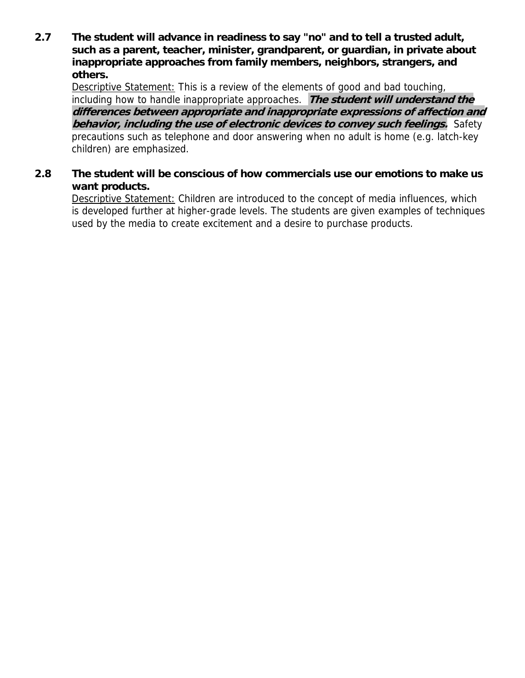**2.7 The student will advance in readiness to say "no" and to tell a trusted adult, such as a parent, teacher, minister, grandparent, or guardian, in private about inappropriate approaches from family members, neighbors, strangers, and others.**

Descriptive Statement: This is a review of the elements of good and bad touching, including how to handle inappropriate approaches. **The student will understand the differences between appropriate and inappropriate expressions of affection and behavior, including the use of electronic devices to convey such feelings.** Safety precautions such as telephone and door answering when no adult is home (e.g. latch-key children) are emphasized.

## **2.8 The student will be conscious of how commercials use our emotions to make us want products.**

Descriptive Statement: Children are introduced to the concept of media influences, which is developed further at higher-grade levels. The students are given examples of techniques used by the media to create excitement and a desire to purchase products.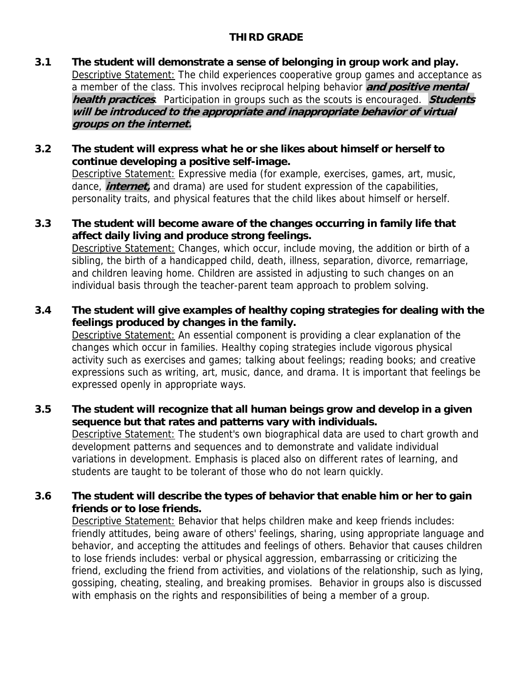## **THIRD GRADE**

- **3.1 The student will demonstrate a sense of belonging in group work and play.**  Descriptive Statement: The child experiences cooperative group games and acceptance as a member of the class. This involves reciprocal helping behavior **and positive mental health practices**. Participation in groups such as the scouts is encouraged. **Students will be introduced to the appropriate and inappropriate behavior of virtual groups on the internet.**
- **3.2 The student will express what he or she likes about himself or herself to continue developing a positive self-image.**

 Descriptive Statement: Expressive media (for example, exercises, games, art, music, dance, **internet,** and drama) are used for student expression of the capabilities, personality traits, and physical features that the child likes about himself or herself.

- **3.3 The student will become aware of the changes occurring in family life that affect daily living and produce strong feelings.**  Descriptive Statement: Changes, which occur, include moving, the addition or birth of a sibling, the birth of a handicapped child, death, illness, separation, divorce, remarriage, and children leaving home. Children are assisted in adjusting to such changes on an individual basis through the teacher-parent team approach to problem solving.
- **3.4 The student will give examples of healthy coping strategies for dealing with the feelings produced by changes in the family.**

Descriptive Statement: An essential component is providing a clear explanation of the changes which occur in families. Healthy coping strategies include vigorous physical activity such as exercises and games; talking about feelings; reading books; and creative expressions such as writing, art, music, dance, and drama. It is important that feelings be expressed openly in appropriate ways.

- **3.5 The student will recognize that all human beings grow and develop in a given sequence but that rates and patterns vary with individuals.**  Descriptive Statement: The student's own biographical data are used to chart growth and development patterns and sequences and to demonstrate and validate individual variations in development. Emphasis is placed also on different rates of learning, and students are taught to be tolerant of those who do not learn quickly.
- **3.6 The student will describe the types of behavior that enable him or her to gain friends or to lose friends.**

Descriptive Statement: Behavior that helps children make and keep friends includes: friendly attitudes, being aware of others' feelings, sharing, using appropriate language and behavior, and accepting the attitudes and feelings of others. Behavior that causes children to lose friends includes: verbal or physical aggression, embarrassing or criticizing the friend, excluding the friend from activities, and violations of the relationship, such as lying, gossiping, cheating, stealing, and breaking promises. Behavior in groups also is discussed with emphasis on the rights and responsibilities of being a member of a group.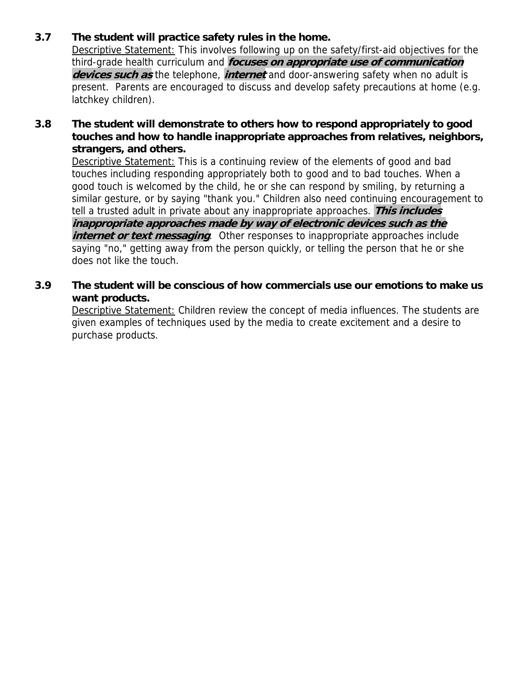## **3.7 The student will practice safety rules in the home.**

Descriptive Statement: This involves following up on the safety/first-aid objectives for the third-grade health curriculum and **focuses on appropriate use of communication devices such as** the telephone, **internet** and door-answering safety when no adult is present. Parents are encouraged to discuss and develop safety precautions at home (e.g. latchkey children).

## **3.8 The student will demonstrate to others how to respond appropriately to good touches and how to handle inappropriate approaches from relatives, neighbors, strangers, and others.**

Descriptive Statement: This is a continuing review of the elements of good and bad touches including responding appropriately both to good and to bad touches. When a good touch is welcomed by the child, he or she can respond by smiling, by returning a similar gesture, or by saying "thank you." Children also need continuing encouragement to tell a trusted adult in private about any inappropriate approaches. **This includes inappropriate approaches made by way of electronic devices such as the**  *internet or text messaging*. Other responses to inappropriate approaches include saying "no," getting away from the person quickly, or telling the person that he or she does not like the touch.

## **3.9 The student will be conscious of how commercials use our emotions to make us want products.**

Descriptive Statement: Children review the concept of media influences. The students are given examples of techniques used by the media to create excitement and a desire to purchase products.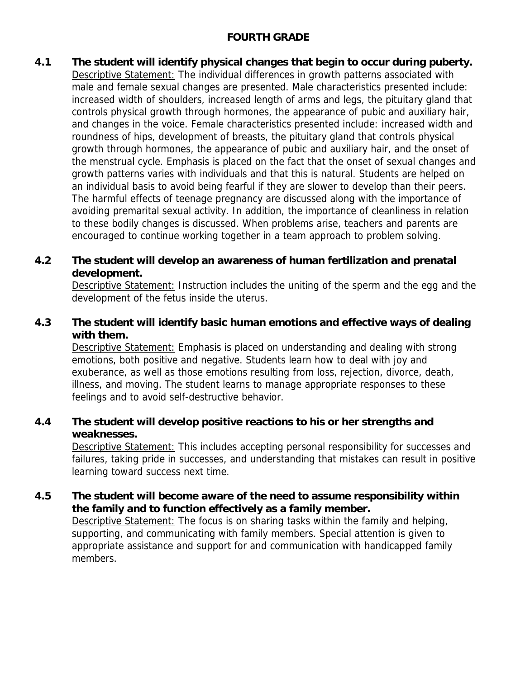## **FOURTH GRADE**

**4.1 The student will identify physical changes that begin to occur during puberty.**  Descriptive Statement: The individual differences in growth patterns associated with male and female sexual changes are presented. Male characteristics presented include: increased width of shoulders, increased length of arms and legs, the pituitary gland that controls physical growth through hormones, the appearance of pubic and auxiliary hair, and changes in the voice. Female characteristics presented include: increased width and roundness of hips, development of breasts, the pituitary gland that controls physical growth through hormones, the appearance of pubic and auxiliary hair, and the onset of the menstrual cycle. Emphasis is placed on the fact that the onset of sexual changes and growth patterns varies with individuals and that this is natural. Students are helped on an individual basis to avoid being fearful if they are slower to develop than their peers. The harmful effects of teenage pregnancy are discussed along with the importance of avoiding premarital sexual activity. In addition, the importance of cleanliness in relation to these bodily changes is discussed. When problems arise, teachers and parents are encouraged to continue working together in a team approach to problem solving.

## **4.2 The student will develop an awareness of human fertilization and prenatal development.**

**Descriptive Statement: Instruction includes the uniting of the sperm and the egg and the** development of the fetus inside the uterus.

## **4.3 The student will identify basic human emotions and effective ways of dealing with them.**

 Descriptive Statement: Emphasis is placed on understanding and dealing with strong emotions, both positive and negative. Students learn how to deal with joy and exuberance, as well as those emotions resulting from loss, rejection, divorce, death, illness, and moving. The student learns to manage appropriate responses to these feelings and to avoid self-destructive behavior.

## **4.4 The student will develop positive reactions to his or her strengths and weaknesses.**

 Descriptive Statement: This includes accepting personal responsibility for successes and failures, taking pride in successes, and understanding that mistakes can result in positive learning toward success next time.

## **4.5 The student will become aware of the need to assume responsibility within the family and to function effectively as a family member.**

 Descriptive Statement: The focus is on sharing tasks within the family and helping, supporting, and communicating with family members. Special attention is given to appropriate assistance and support for and communication with handicapped family members.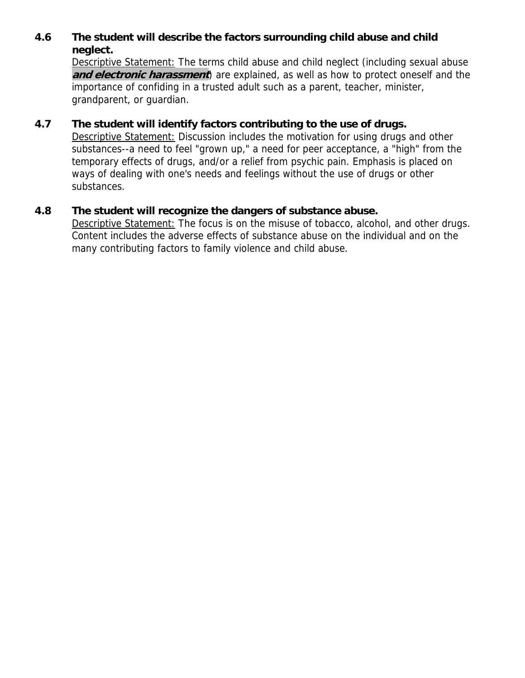## **4.6 The student will describe the factors surrounding child abuse and child neglect.**

 Descriptive Statement: The terms child abuse and child neglect (including sexual abuse **and electronic harassment**) are explained, as well as how to protect oneself and the importance of confiding in a trusted adult such as a parent, teacher, minister, grandparent, or guardian.

## **4.7 The student will identify factors contributing to the use of drugs.**

 Descriptive Statement: Discussion includes the motivation for using drugs and other substances--a need to feel "grown up," a need for peer acceptance, a "high" from the temporary effects of drugs, and/or a relief from psychic pain. Emphasis is placed on ways of dealing with one's needs and feelings without the use of drugs or other substances.

## **4.8 The student will recognize the dangers of substance abuse.**

 Descriptive Statement: The focus is on the misuse of tobacco, alcohol, and other drugs. Content includes the adverse effects of substance abuse on the individual and on the many contributing factors to family violence and child abuse.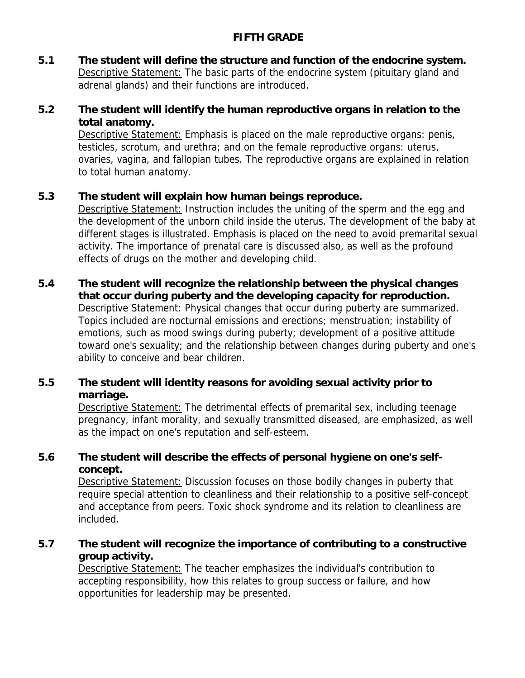## **FIFTH GRADE**

**5.1 The student will define the structure and function of the endocrine system.**  Descriptive Statement: The basic parts of the endocrine system (pituitary gland and adrenal glands) and their functions are introduced.

## **5.2 The student will identify the human reproductive organs in relation to the total anatomy.**

Descriptive Statement: Emphasis is placed on the male reproductive organs: penis, testicles, scrotum, and urethra; and on the female reproductive organs: uterus, ovaries, vagina, and fallopian tubes. The reproductive organs are explained in relation to total human anatomy.

## **5.3 The student will explain how human beings reproduce.**

 Descriptive Statement: Instruction includes the uniting of the sperm and the egg and the development of the unborn child inside the uterus. The development of the baby at different stages is illustrated. Emphasis is placed on the need to avoid premarital sexual activity. The importance of prenatal care is discussed also, as well as the profound effects of drugs on the mother and developing child.

## **5.4 The student will recognize the relationship between the physical changes that occur during puberty and the developing capacity for reproduction.**  Descriptive Statement: Physical changes that occur during puberty are summarized. Topics included are nocturnal emissions and erections; menstruation; instability of emotions, such as mood swings during puberty; development of a positive attitude toward one's sexuality; and the relationship between changes during puberty and one's ability to conceive and bear children.

## **5.5 The student will identity reasons for avoiding sexual activity prior to marriage.**

 Descriptive Statement: The detrimental effects of premarital sex, including teenage pregnancy, infant morality, and sexually transmitted diseased, are emphasized, as well as the impact on one's reputation and self-esteem.

## **5.6 The student will describe the effects of personal hygiene on one's selfconcept.**

 Descriptive Statement: Discussion focuses on those bodily changes in puberty that require special attention to cleanliness and their relationship to a positive self-concept and acceptance from peers. Toxic shock syndrome and its relation to cleanliness are included.

## **5.7 The student will recognize the importance of contributing to a constructive group activity.**

 Descriptive Statement: The teacher emphasizes the individual's contribution to accepting responsibility, how this relates to group success or failure, and how opportunities for leadership may be presented.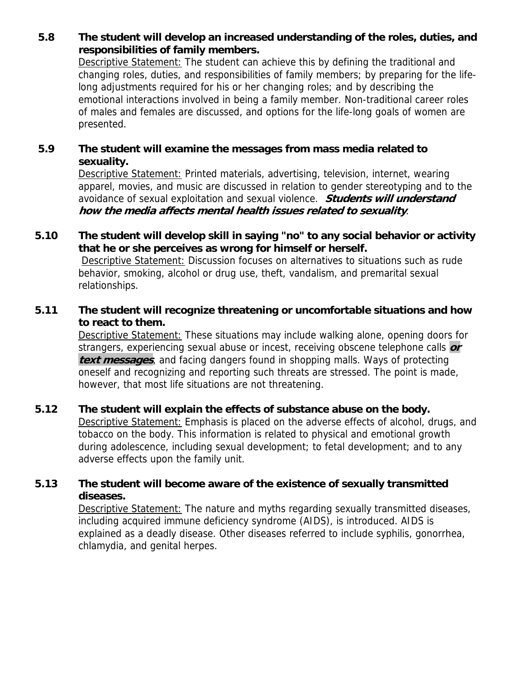**5.8 The student will develop an increased understanding of the roles, duties, and responsibilities of family members.** 

 Descriptive Statement: The student can achieve this by defining the traditional and changing roles, duties, and responsibilities of family members; by preparing for the lifelong adjustments required for his or her changing roles; and by describing the emotional interactions involved in being a family member. Non-traditional career roles of males and females are discussed, and options for the life-long goals of women are presented.

#### **5.9 The student will examine the messages from mass media related to sexuality.**

 Descriptive Statement: Printed materials, advertising, television, internet, wearing apparel, movies, and music are discussed in relation to gender stereotyping and to the avoidance of sexual exploitation and sexual violence. **Students will understand how the media affects mental health issues related to sexuality**.

#### **5.10 The student will develop skill in saying "no" to any social behavior or activity that he or she perceives as wrong for himself or herself.**

 Descriptive Statement: Discussion focuses on alternatives to situations such as rude behavior, smoking, alcohol or drug use, theft, vandalism, and premarital sexual relationships.

## **5.11 The student will recognize threatening or uncomfortable situations and how to react to them.**

 Descriptive Statement: These situations may include walking alone, opening doors for strangers, experiencing sexual abuse or incest, receiving obscene telephone calls **or text messages**, and facing dangers found in shopping malls. Ways of protecting oneself and recognizing and reporting such threats are stressed. The point is made, however, that most life situations are not threatening.

## **5.12 The student will explain the effects of substance abuse on the body.**

 Descriptive Statement: Emphasis is placed on the adverse effects of alcohol, drugs, and tobacco on the body. This information is related to physical and emotional growth during adolescence, including sexual development; to fetal development; and to any adverse effects upon the family unit.

## **5.13 The student will become aware of the existence of sexually transmitted diseases.**

 Descriptive Statement: The nature and myths regarding sexually transmitted diseases, including acquired immune deficiency syndrome (AIDS), is introduced. AIDS is explained as a deadly disease. Other diseases referred to include syphilis, gonorrhea, chlamydia, and genital herpes.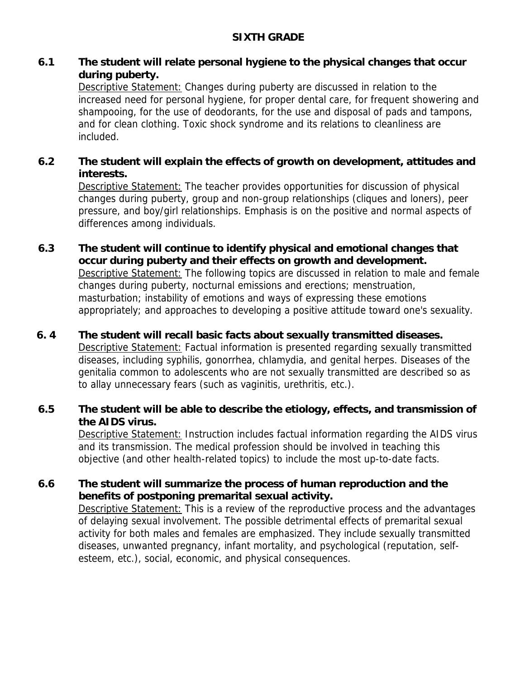## **6.1 The student will relate personal hygiene to the physical changes that occur during puberty.**

Descriptive Statement: Changes during puberty are discussed in relation to the increased need for personal hygiene, for proper dental care, for frequent showering and shampooing, for the use of deodorants, for the use and disposal of pads and tampons, and for clean clothing. Toxic shock syndrome and its relations to cleanliness are included.

## **6.2 The student will explain the effects of growth on development, attitudes and interests.**

 Descriptive Statement: The teacher provides opportunities for discussion of physical changes during puberty, group and non-group relationships (cliques and loners), peer pressure, and boy/girl relationships. Emphasis is on the positive and normal aspects of differences among individuals.

**6.3 The student will continue to identify physical and emotional changes that occur during puberty and their effects on growth and development.**  Descriptive Statement: The following topics are discussed in relation to male and female changes during puberty, nocturnal emissions and erections; menstruation, masturbation; instability of emotions and ways of expressing these emotions appropriately; and approaches to developing a positive attitude toward one's sexuality.

## **6. 4 The student will recall basic facts about sexually transmitted diseases.**

 Descriptive Statement: Factual information is presented regarding sexually transmitted diseases, including syphilis, gonorrhea, chlamydia, and genital herpes. Diseases of the genitalia common to adolescents who are not sexually transmitted are described so as to allay unnecessary fears (such as vaginitis, urethritis, etc.).

## **6.5 The student will be able to describe the etiology, effects, and transmission of the AIDS virus.**

 Descriptive Statement: Instruction includes factual information regarding the AIDS virus and its transmission. The medical profession should be involved in teaching this objective (and other health-related topics) to include the most up-to-date facts.

## **6.6 The student will summarize the process of human reproduction and the benefits of postponing premarital sexual activity.**

 Descriptive Statement: This is a review of the reproductive process and the advantages of delaying sexual involvement. The possible detrimental effects of premarital sexual activity for both males and females are emphasized. They include sexually transmitted diseases, unwanted pregnancy, infant mortality, and psychological (reputation, selfesteem, etc.), social, economic, and physical consequences.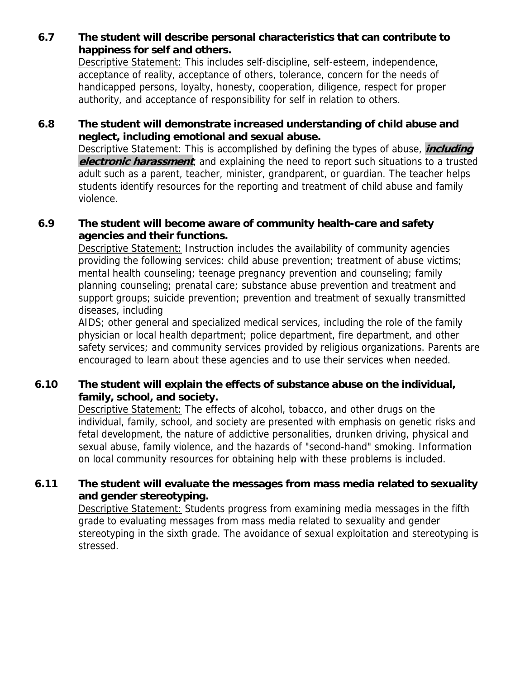## **6.7 The student will describe personal characteristics that can contribute to happiness for self and others.**

 Descriptive Statement: This includes self-discipline, self-esteem, independence, acceptance of reality, acceptance of others, tolerance, concern for the needs of handicapped persons, loyalty, honesty, cooperation, diligence, respect for proper authority, and acceptance of responsibility for self in relation to others.

## **6.8 The student will demonstrate increased understanding of child abuse and neglect, including emotional and sexual abuse.**

Descriptive Statement: This is accomplished by defining the types of abuse, **including electronic harassment**, and explaining the need to report such situations to a trusted adult such as a parent, teacher, minister, grandparent, or guardian. The teacher helps students identify resources for the reporting and treatment of child abuse and family violence.

## **6.9 The student will become aware of community health-care and safety agencies and their functions.**

Descriptive Statement: Instruction includes the availability of community agencies providing the following services: child abuse prevention; treatment of abuse victims; mental health counseling; teenage pregnancy prevention and counseling; family planning counseling; prenatal care; substance abuse prevention and treatment and support groups; suicide prevention; prevention and treatment of sexually transmitted diseases, including

AIDS; other general and specialized medical services, including the role of the family physician or local health department; police department, fire department, and other safety services; and community services provided by religious organizations. Parents are encouraged to learn about these agencies and to use their services when needed.

## **6.10 The student will explain the effects of substance abuse on the individual, family, school, and society.**

Descriptive Statement: The effects of alcohol, tobacco, and other drugs on the individual, family, school, and society are presented with emphasis on genetic risks and fetal development, the nature of addictive personalities, drunken driving, physical and sexual abuse, family violence, and the hazards of "second-hand" smoking. Information on local community resources for obtaining help with these problems is included.

## **6.11 The student will evaluate the messages from mass media related to sexuality and gender stereotyping.**

Descriptive Statement: Students progress from examining media messages in the fifth grade to evaluating messages from mass media related to sexuality and gender stereotyping in the sixth grade. The avoidance of sexual exploitation and stereotyping is stressed.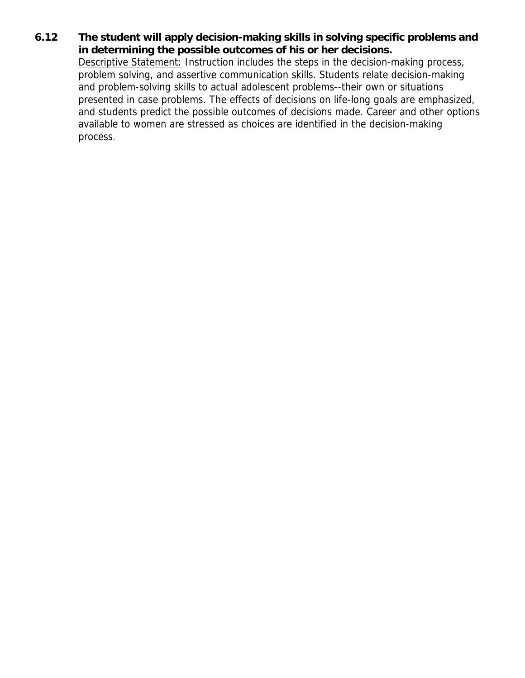**6.12 The student will apply decision-making skills in solving specific problems and in determining the possible outcomes of his or her decisions.**

 Descriptive Statement: Instruction includes the steps in the decision-making process, problem solving, and assertive communication skills. Students relate decision-making and problem-solving skills to actual adolescent problems--their own or situations presented in case problems. The effects of decisions on life-long goals are emphasized, and students predict the possible outcomes of decisions made. Career and other options available to women are stressed as choices are identified in the decision-making process.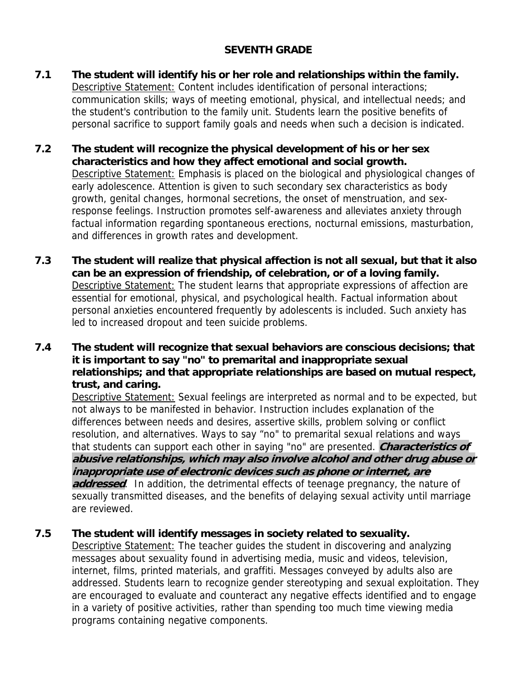## **SEVENTH GRADE**

- **7.1 The student will identify his or her role and relationships within the family.**  Descriptive Statement: Content includes identification of personal interactions; communication skills; ways of meeting emotional, physical, and intellectual needs; and the student's contribution to the family unit. Students learn the positive benefits of personal sacrifice to support family goals and needs when such a decision is indicated.
- **7.2 The student will recognize the physical development of his or her sex characteristics and how they affect emotional and social growth.**  Descriptive Statement: Emphasis is placed on the biological and physiological changes of early adolescence. Attention is given to such secondary sex characteristics as body growth, genital changes, hormonal secretions, the onset of menstruation, and sexresponse feelings. Instruction promotes self-awareness and alleviates anxiety through factual information regarding spontaneous erections, nocturnal emissions, masturbation, and differences in growth rates and development.
- **7.3 The student will realize that physical affection is not all sexual, but that it also can be an expression of friendship, of celebration, or of a loving family.**  Descriptive Statement: The student learns that appropriate expressions of affection are essential for emotional, physical, and psychological health. Factual information about personal anxieties encountered frequently by adolescents is included. Such anxiety has led to increased dropout and teen suicide problems.
- **7.4 The student will recognize that sexual behaviors are conscious decisions; that it is important to say "no" to premarital and inappropriate sexual relationships; and that appropriate relationships are based on mutual respect, trust, and caring.**

 Descriptive Statement: Sexual feelings are interpreted as normal and to be expected, but not always to be manifested in behavior. Instruction includes explanation of the differences between needs and desires, assertive skills, problem solving or conflict resolution, and alternatives. Ways to say "no" to premarital sexual relations and ways that students can support each other in saying "no" are presented. **Characteristics of abusive relationships, which may also involve alcohol and other drug abuse or inappropriate use of electronic devices such as phone or internet, are addressed**. In addition, the detrimental effects of teenage pregnancy, the nature of sexually transmitted diseases, and the benefits of delaying sexual activity until marriage are reviewed.

## **7.5 The student will identify messages in society related to sexuality.**

Descriptive Statement: The teacher guides the student in discovering and analyzing messages about sexuality found in advertising media, music and videos, television, internet, films, printed materials, and graffiti. Messages conveyed by adults also are addressed. Students learn to recognize gender stereotyping and sexual exploitation. They are encouraged to evaluate and counteract any negative effects identified and to engage in a variety of positive activities, rather than spending too much time viewing media programs containing negative components.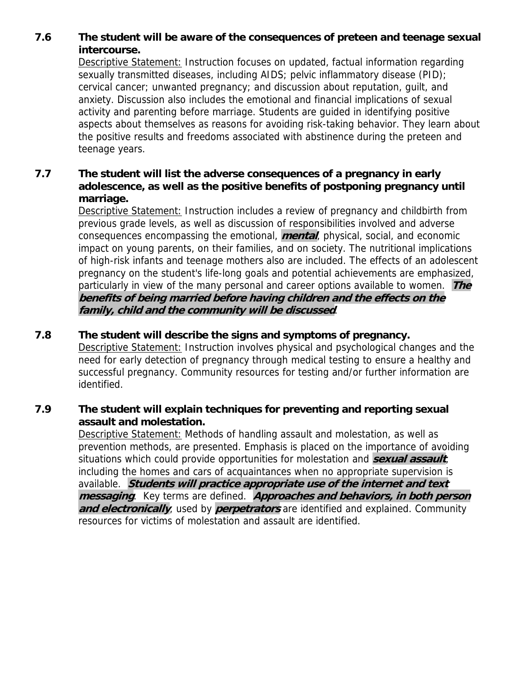## **7.6 The student will be aware of the consequences of preteen and teenage sexual intercourse.**

 Descriptive Statement: Instruction focuses on updated, factual information regarding sexually transmitted diseases, including AIDS; pelvic inflammatory disease (PID); cervical cancer; unwanted pregnancy; and discussion about reputation, guilt, and anxiety. Discussion also includes the emotional and financial implications of sexual activity and parenting before marriage. Students are guided in identifying positive aspects about themselves as reasons for avoiding risk-taking behavior. They learn about the positive results and freedoms associated with abstinence during the preteen and teenage years.

## **7.7 The student will list the adverse consequences of a pregnancy in early adolescence, as well as the positive benefits of postponing pregnancy until marriage.**

 Descriptive Statement: Instruction includes a review of pregnancy and childbirth from previous grade levels, as well as discussion of responsibilities involved and adverse consequences encompassing the emotional, **mental**, physical, social, and economic impact on young parents, on their families, and on society. The nutritional implications of high-risk infants and teenage mothers also are included. The effects of an adolescent pregnancy on the student's life-long goals and potential achievements are emphasized, particularly in view of the many personal and career options available to women. **The benefits of being married before having children and the effects on the family, child and the community will be discussed**.

## **7.8 The student will describe the signs and symptoms of pregnancy.**

 Descriptive Statement: Instruction involves physical and psychological changes and the need for early detection of pregnancy through medical testing to ensure a healthy and successful pregnancy. Community resources for testing and/or further information are identified.

## **7.9 The student will explain techniques for preventing and reporting sexual assault and molestation.**

 Descriptive Statement: Methods of handling assault and molestation, as well as prevention methods, are presented. Emphasis is placed on the importance of avoiding situations which could provide opportunities for molestation and **sexual assault**, including the homes and cars of acquaintances when no appropriate supervision is available. **Students will practice appropriate use of the internet and text messaging**. Key terms are defined. **Approaches and behaviors, in both person and electronically**, used by **perpetrators** are identified and explained. Community resources for victims of molestation and assault are identified.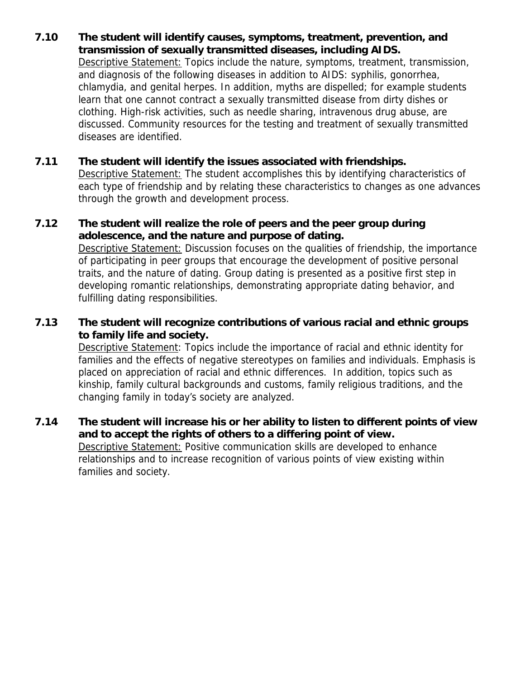## **7.10 The student will identify causes, symptoms, treatment, prevention, and transmission of sexually transmitted diseases, including AIDS.**

 Descriptive Statement: Topics include the nature, symptoms, treatment, transmission, and diagnosis of the following diseases in addition to AIDS: syphilis, gonorrhea, chlamydia, and genital herpes. In addition, myths are dispelled; for example students learn that one cannot contract a sexually transmitted disease from dirty dishes or clothing. High-risk activities, such as needle sharing, intravenous drug abuse, are discussed. Community resources for the testing and treatment of sexually transmitted diseases are identified.

## **7.11 The student will identify the issues associated with friendships.**

Descriptive Statement: The student accomplishes this by identifying characteristics of each type of friendship and by relating these characteristics to changes as one advances through the growth and development process.

#### **7.12 The student will realize the role of peers and the peer group during adolescence, and the nature and purpose of dating.**

Descriptive Statement: Discussion focuses on the qualities of friendship, the importance of participating in peer groups that encourage the development of positive personal traits, and the nature of dating. Group dating is presented as a positive first step in developing romantic relationships, demonstrating appropriate dating behavior, and fulfilling dating responsibilities.

## **7.13 The student will recognize contributions of various racial and ethnic groups to family life and society.**

 Descriptive Statement: Topics include the importance of racial and ethnic identity for families and the effects of negative stereotypes on families and individuals. Emphasis is placed on appreciation of racial and ethnic differences. In addition, topics such as kinship, family cultural backgrounds and customs, family religious traditions, and the changing family in today's society are analyzed.

## **7.14 The student will increase his or her ability to listen to different points of view and to accept the rights of others to a differing point of view. Descriptive Statement: Positive communication skills are developed to enhance**

relationships and to increase recognition of various points of view existing within families and society.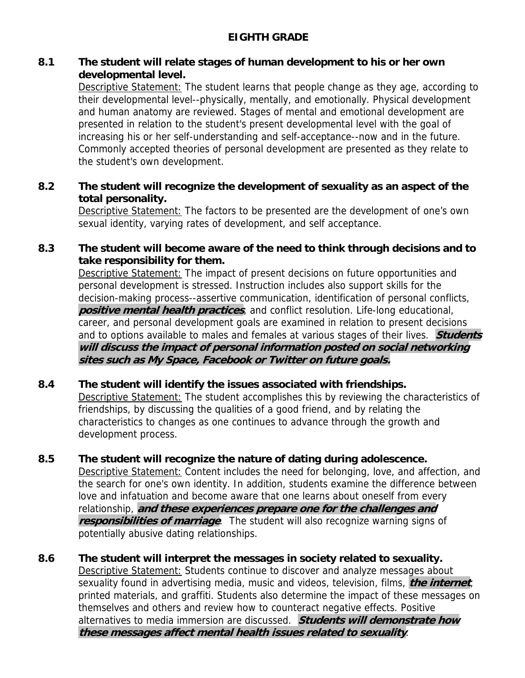## **EIGHTH GRADE**

#### **8.1 The student will relate stages of human development to his or her own developmental level.**

 Descriptive Statement: The student learns that people change as they age, according to their developmental level--physically, mentally, and emotionally. Physical development and human anatomy are reviewed. Stages of mental and emotional development are presented in relation to the student's present developmental level with the goal of increasing his or her self-understanding and self-acceptance--now and in the future. Commonly accepted theories of personal development are presented as they relate to the student's own development.

#### **8.2 The student will recognize the development of sexuality as an aspect of the total personality.**

Descriptive Statement: The factors to be presented are the development of one's own sexual identity, varying rates of development, and self acceptance.

## **8.3 The student will become aware of the need to think through decisions and to take responsibility for them.**

 Descriptive Statement: The impact of present decisions on future opportunities and personal development is stressed. Instruction includes also support skills for the decision-making process--assertive communication, identification of personal conflicts, **positive mental health practices**, and conflict resolution. Life-long educational, career, and personal development goals are examined in relation to present decisions and to options available to males and females at various stages of their lives. **Students will discuss the impact of personal information posted on social networking sites such as My Space, Facebook or Twitter on future goals.** 

## **8.4 The student will identify the issues associated with friendships.**

 Descriptive Statement: The student accomplishes this by reviewing the characteristics of friendships, by discussing the qualities of a good friend, and by relating the characteristics to changes as one continues to advance through the growth and development process.

## **8.5 The student will recognize the nature of dating during adolescence.**

 Descriptive Statement: Content includes the need for belonging, love, and affection, and the search for one's own identity. In addition, students examine the difference between love and infatuation and become aware that one learns about oneself from every relationship, **and these experiences prepare one for the challenges and responsibilities of marriage**. The student will also recognize warning signs of potentially abusive dating relationships.

## **8.6 The student will interpret the messages in society related to sexuality.**  Descriptive Statement: Students continue to discover and analyze messages about sexuality found in advertising media, music and videos, television, films, **the internet**, printed materials, and graffiti. Students also determine the impact of these messages on themselves and others and review how to counteract negative effects. Positive alternatives to media immersion are discussed. **Students will demonstrate how these messages affect mental health issues related to sexuality**.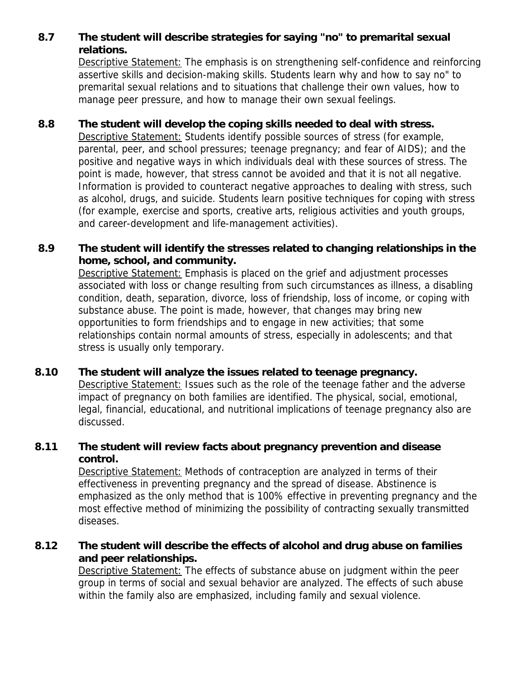## **8.7 The student will describe strategies for saying "no" to premarital sexual relations.**

 Descriptive Statement: The emphasis is on strengthening self-confidence and reinforcing assertive skills and decision-making skills. Students learn why and how to say no" to premarital sexual relations and to situations that challenge their own values, how to manage peer pressure, and how to manage their own sexual feelings.

## **8.8 The student will develop the coping skills needed to deal with stress.**

Descriptive Statement: Students identify possible sources of stress (for example, parental, peer, and school pressures; teenage pregnancy; and fear of AIDS); and the positive and negative ways in which individuals deal with these sources of stress. The point is made, however, that stress cannot be avoided and that it is not all negative. Information is provided to counteract negative approaches to dealing with stress, such as alcohol, drugs, and suicide. Students learn positive techniques for coping with stress (for example, exercise and sports, creative arts, religious activities and youth groups, and career-development and life-management activities).

## **8.9 The student will identify the stresses related to changing relationships in the home, school, and community.**

 Descriptive Statement: Emphasis is placed on the grief and adjustment processes associated with loss or change resulting from such circumstances as illness, a disabling condition, death, separation, divorce, loss of friendship, loss of income, or coping with substance abuse. The point is made, however, that changes may bring new opportunities to form friendships and to engage in new activities; that some relationships contain normal amounts of stress, especially in adolescents; and that stress is usually only temporary.

## **8.10 The student will analyze the issues related to teenage pregnancy.**

 Descriptive Statement: Issues such as the role of the teenage father and the adverse impact of pregnancy on both families are identified. The physical, social, emotional, legal, financial, educational, and nutritional implications of teenage pregnancy also are discussed.

#### **8.11 The student will review facts about pregnancy prevention and disease control.**

 Descriptive Statement: Methods of contraception are analyzed in terms of their effectiveness in preventing pregnancy and the spread of disease. Abstinence is emphasized as the only method that is 100% effective in preventing pregnancy and the most effective method of minimizing the possibility of contracting sexually transmitted diseases.

## **8.12 The student will describe the effects of alcohol and drug abuse on families and peer relationships.**

Descriptive Statement: The effects of substance abuse on judgment within the peer group in terms of social and sexual behavior are analyzed. The effects of such abuse within the family also are emphasized, including family and sexual violence.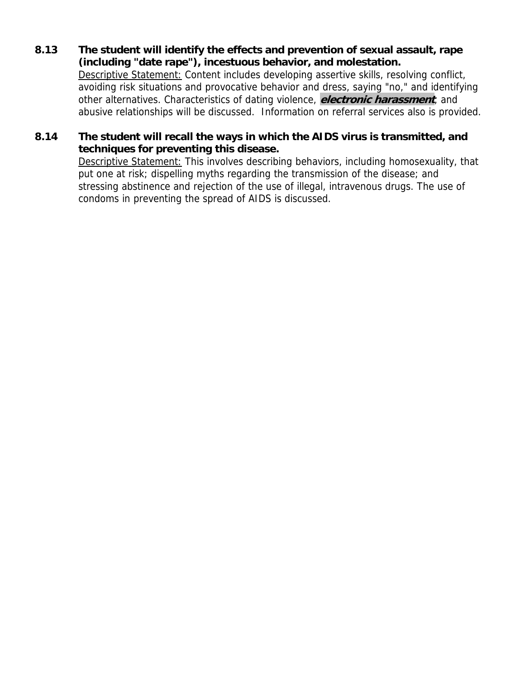**8.13 The student will identify the effects and prevention of sexual assault, rape (including "date rape"), incestuous behavior, and molestation.** 

Descriptive Statement: Content includes developing assertive skills, resolving conflict, avoiding risk situations and provocative behavior and dress, saying "no," and identifying other alternatives. Characteristics of dating violence, **electronic harassment**, and abusive relationships will be discussed. Information on referral services also is provided.

## **8.14 The student will recall the ways in which the AIDS virus is transmitted, and techniques for preventing this disease.**

 Descriptive Statement: This involves describing behaviors, including homosexuality, that put one at risk; dispelling myths regarding the transmission of the disease; and stressing abstinence and rejection of the use of illegal, intravenous drugs. The use of condoms in preventing the spread of AIDS is discussed.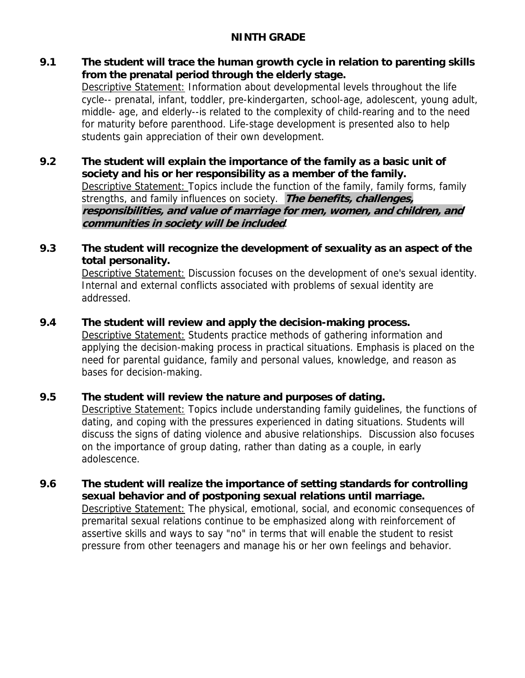## **NINTH GRADE**

**9.1 The student will trace the human growth cycle in relation to parenting skills from the prenatal period through the elderly stage.** 

 Descriptive Statement: Information about developmental levels throughout the life cycle-- prenatal, infant, toddler, pre-kindergarten, school-age, adolescent, young adult, middle- age, and elderly--is related to the complexity of child-rearing and to the need for maturity before parenthood. Life-stage development is presented also to help students gain appreciation of their own development.

**9.2 The student will explain the importance of the family as a basic unit of society and his or her responsibility as a member of the family.** Descriptive Statement: Topics include the function of the family, family forms, family strengths, and family influences on society. **The benefits, challenges, responsibilities, and value of marriage for men, women, and children, and communities in society will be included**.

## **9.3 The student will recognize the development of sexuality as an aspect of the total personality.**

 Descriptive Statement: Discussion focuses on the development of one's sexual identity. Internal and external conflicts associated with problems of sexual identity are addressed.

## **9.4 The student will review and apply the decision-making process.**

 Descriptive Statement: Students practice methods of gathering information and applying the decision-making process in practical situations. Emphasis is placed on the need for parental guidance, family and personal values, knowledge, and reason as bases for decision-making.

## **9.5 The student will review the nature and purposes of dating.**

Descriptive Statement: Topics include understanding family quidelines, the functions of dating, and coping with the pressures experienced in dating situations. Students will discuss the signs of dating violence and abusive relationships. Discussion also focuses on the importance of group dating, rather than dating as a couple, in early adolescence.

**9.6 The student will realize the importance of setting standards for controlling sexual behavior and of postponing sexual relations until marriage.** Descriptive Statement: The physical, emotional, social, and economic consequences of premarital sexual relations continue to be emphasized along with reinforcement of assertive skills and ways to say "no" in terms that will enable the student to resist pressure from other teenagers and manage his or her own feelings and behavior.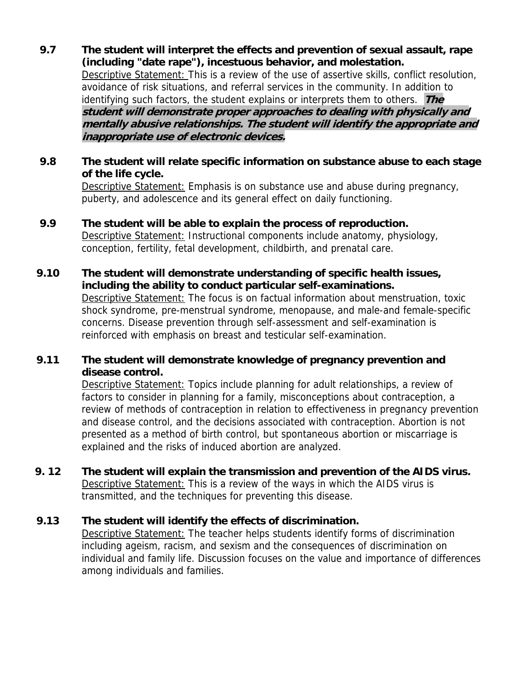**9.7 The student will interpret the effects and prevention of sexual assault, rape (including "date rape"), incestuous behavior, and molestation.**  Descriptive Statement: This is a review of the use of assertive skills, conflict resolution, avoidance of risk situations, and referral services in the community. In addition to identifying such factors, the student explains or interprets them to others. **The student will demonstrate proper approaches to dealing with physically and mentally abusive relationships. The student will identify the appropriate and inappropriate use of electronic devices.** 

#### **9.8 The student will relate specific information on substance abuse to each stage of the life cycle.**

 Descriptive Statement: Emphasis is on substance use and abuse during pregnancy, puberty, and adolescence and its general effect on daily functioning.

**9.9 The student will be able to explain the process of reproduction.** 

 Descriptive Statement: Instructional components include anatomy, physiology, conception, fertility, fetal development, childbirth, and prenatal care.

#### **9.10 The student will demonstrate understanding of specific health issues, including the ability to conduct particular self-examinations.**

Descriptive Statement: The focus is on factual information about menstruation, toxic shock syndrome, pre-menstrual syndrome, menopause, and male-and female-specific concerns. Disease prevention through self-assessment and self-examination is reinforced with emphasis on breast and testicular self-examination.

## **9.11 The student will demonstrate knowledge of pregnancy prevention and disease control.**

Descriptive Statement: Topics include planning for adult relationships, a review of factors to consider in planning for a family, misconceptions about contraception, a review of methods of contraception in relation to effectiveness in pregnancy prevention and disease control, and the decisions associated with contraception. Abortion is not presented as a method of birth control, but spontaneous abortion or miscarriage is explained and the risks of induced abortion are analyzed.

**9. 12 The student will explain the transmission and prevention of the AIDS virus. Descriptive Statement:** This is a review of the ways in which the AIDS virus is transmitted, and the techniques for preventing this disease.

## **9.13 The student will identify the effects of discrimination.**

 Descriptive Statement: The teacher helps students identify forms of discrimination including ageism, racism, and sexism and the consequences of discrimination on individual and family life. Discussion focuses on the value and importance of differences among individuals and families.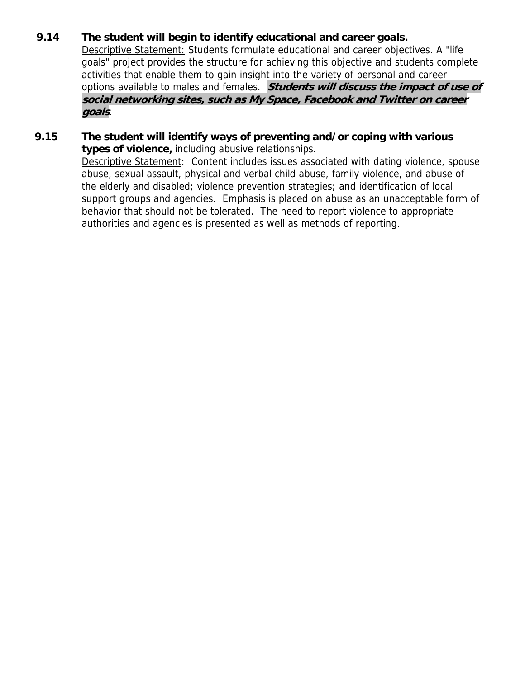## **9.14 The student will begin to identify educational and career goals.**

 Descriptive Statement: Students formulate educational and career objectives. A "life goals" project provides the structure for achieving this objective and students complete activities that enable them to gain insight into the variety of personal and career options available to males and females. **Students will discuss the impact of use of social networking sites, such as My Space, Facebook and Twitter on career goals**.

**9.15 The student will identify ways of preventing and/or coping with various types of violence,** including abusive relationships. Descriptive Statement: Content includes issues associated with dating violence, spouse abuse, sexual assault, physical and verbal child abuse, family violence, and abuse of the elderly and disabled; violence prevention strategies; and identification of local support groups and agencies. Emphasis is placed on abuse as an unacceptable form of behavior that should not be tolerated. The need to report violence to appropriate authorities and agencies is presented as well as methods of reporting.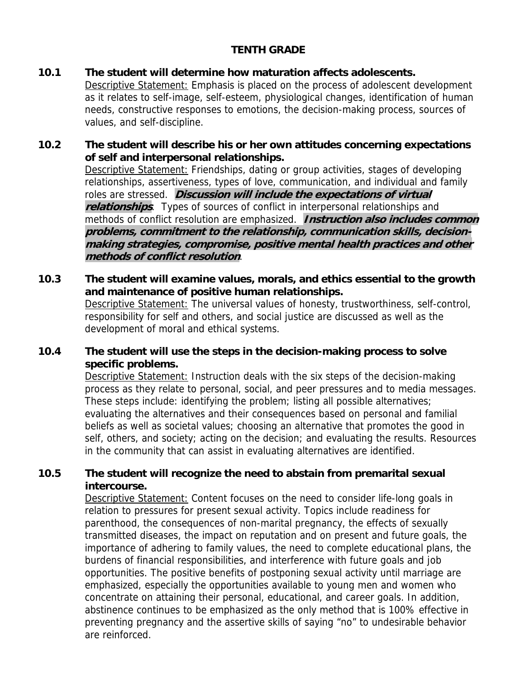## **TENTH GRADE**

#### **10.1 The student will determine how maturation affects adolescents.**

 Descriptive Statement: Emphasis is placed on the process of adolescent development as it relates to self-image, self-esteem, physiological changes, identification of human needs, constructive responses to emotions, the decision-making process, sources of values, and self-discipline.

## **10.2 The student will describe his or her own attitudes concerning expectations of self and interpersonal relationships.**

 Descriptive Statement: Friendships, dating or group activities, stages of developing relationships, assertiveness, types of love, communication, and individual and family roles are stressed. **Discussion will include the expectations of virtual relationships**. Types of sources of conflict in interpersonal relationships and methods of conflict resolution are emphasized. **Instruction also includes common problems, commitment to the relationship, communication skills, decisionmaking strategies, compromise, positive mental health practices and other methods of conflict resolution**.

#### **10.3 The student will examine values, morals, and ethics essential to the growth and maintenance of positive human relationships.**  Descriptive Statement: The universal values of honesty, trustworthiness, self-control, responsibility for self and others, and social justice are discussed as well as the development of moral and ethical systems.

## **10.4 The student will use the steps in the decision-making process to solve specific problems.**

 Descriptive Statement: Instruction deals with the six steps of the decision-making process as they relate to personal, social, and peer pressures and to media messages. These steps include: identifying the problem; listing all possible alternatives; evaluating the alternatives and their consequences based on personal and familial beliefs as well as societal values; choosing an alternative that promotes the good in self, others, and society; acting on the decision; and evaluating the results. Resources in the community that can assist in evaluating alternatives are identified.

## **10.5 The student will recognize the need to abstain from premarital sexual intercourse.**

 Descriptive Statement: Content focuses on the need to consider life-long goals in relation to pressures for present sexual activity. Topics include readiness for parenthood, the consequences of non-marital pregnancy, the effects of sexually transmitted diseases, the impact on reputation and on present and future goals, the importance of adhering to family values, the need to complete educational plans, the burdens of financial responsibilities, and interference with future goals and job opportunities. The positive benefits of postponing sexual activity until marriage are emphasized, especially the opportunities available to young men and women who concentrate on attaining their personal, educational, and career goals. In addition, abstinence continues to be emphasized as the only method that is 100% effective in preventing pregnancy and the assertive skills of saying "no" to undesirable behavior are reinforced.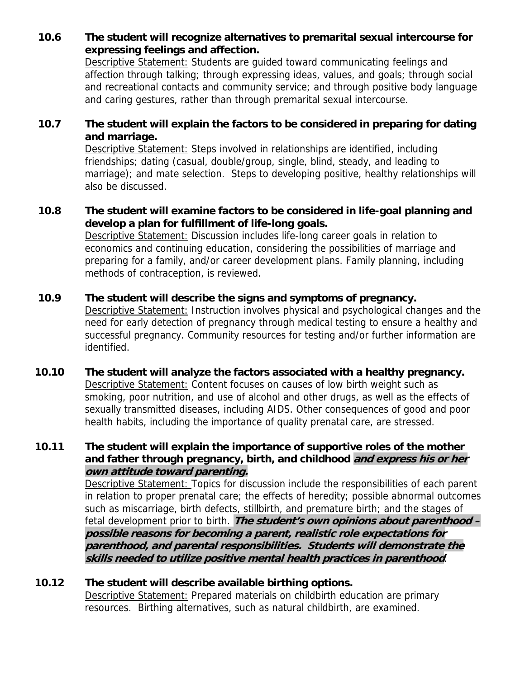## **10.6 The student will recognize alternatives to premarital sexual intercourse for expressing feelings and affection.**

 Descriptive Statement: Students are guided toward communicating feelings and affection through talking; through expressing ideas, values, and goals; through social and recreational contacts and community service; and through positive body language and caring gestures, rather than through premarital sexual intercourse.

## **10.7 The student will explain the factors to be considered in preparing for dating and marriage.**

 Descriptive Statement: Steps involved in relationships are identified, including friendships; dating (casual, double/group, single, blind, steady, and leading to marriage); and mate selection. Steps to developing positive, healthy relationships will also be discussed.

## **10.8 The student will examine factors to be considered in life-goal planning and develop a plan for fulfillment of life-long goals.**

Descriptive Statement: Discussion includes life-long career goals in relation to economics and continuing education, considering the possibilities of marriage and preparing for a family, and/or career development plans. Family planning, including methods of contraception, is reviewed.

## **10.9 The student will describe the signs and symptoms of pregnancy.**

Descriptive Statement: Instruction involves physical and psychological changes and the need for early detection of pregnancy through medical testing to ensure a healthy and successful pregnancy. Community resources for testing and/or further information are identified.

## **10.10 The student will analyze the factors associated with a healthy pregnancy.**  Descriptive Statement: Content focuses on causes of low birth weight such as smoking, poor nutrition, and use of alcohol and other drugs, as well as the effects of sexually transmitted diseases, including AIDS. Other consequences of good and poor health habits, including the importance of quality prenatal care, are stressed.

## **10.11 The student will explain the importance of supportive roles of the mother and father through pregnancy, birth, and childhood and express his or her own attitude toward parenting.**

 Descriptive Statement: Topics for discussion include the responsibilities of each parent in relation to proper prenatal care; the effects of heredity; possible abnormal outcomes such as miscarriage, birth defects, stillbirth, and premature birth; and the stages of fetal development prior to birth. **The student's own opinions about parenthood – possible reasons for becoming a parent, realistic role expectations for parenthood, and parental responsibilities. Students will demonstrate the skills needed to utilize positive mental health practices in parenthood**.

## **10.12 The student will describe available birthing options.**

 Descriptive Statement: Prepared materials on childbirth education are primary resources. Birthing alternatives, such as natural childbirth, are examined.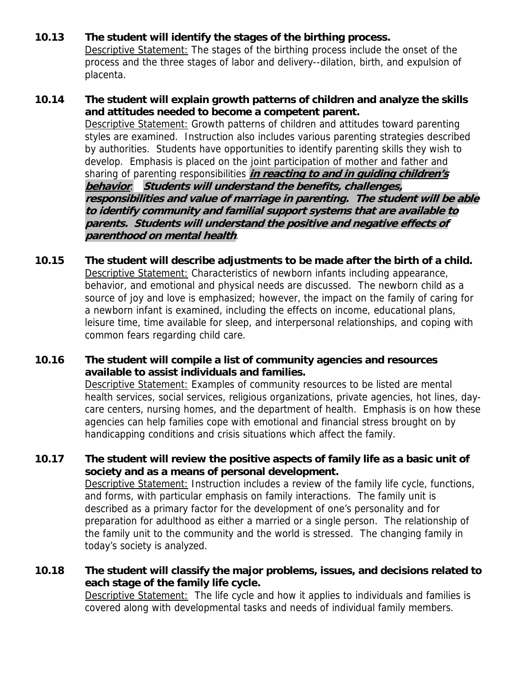## **10.13 The student will identify the stages of the birthing process.**

Descriptive Statement: The stages of the birthing process include the onset of the process and the three stages of labor and delivery--dilation, birth, and expulsion of placenta.

- **10.14 The student will explain growth patterns of children and analyze the skills and attitudes needed to become a competent parent.**  Descriptive Statement: Growth patterns of children and attitudes toward parenting styles are examined. Instruction also includes various parenting strategies described by authorities. Students have opportunities to identify parenting skills they wish to develop. Emphasis is placed on the joint participation of mother and father and sharing of parenting responsibilities **in reacting to and in guiding children's behavior**. **Students will understand the benefits, challenges, responsibilities and value of marriage in parenting. The student will be able to identify community and familial support systems that are available to parents. Students will understand the positive and negative effects of parenthood on mental health**.
- **10.15 The student will describe adjustments to be made after the birth of a child.**  Descriptive Statement: Characteristics of newborn infants including appearance, behavior, and emotional and physical needs are discussed. The newborn child as a source of joy and love is emphasized; however, the impact on the family of caring for a newborn infant is examined, including the effects on income, educational plans, leisure time, time available for sleep, and interpersonal relationships, and coping with common fears regarding child care.

#### **10.16 The student will compile a list of community agencies and resources available to assist individuals and families.**

 Descriptive Statement: Examples of community resources to be listed are mental health services, social services, religious organizations, private agencies, hot lines, daycare centers, nursing homes, and the department of health. Emphasis is on how these agencies can help families cope with emotional and financial stress brought on by handicapping conditions and crisis situations which affect the family.

#### **10.17 The student will review the positive aspects of family life as a basic unit of society and as a means of personal development.**

Descriptive Statement: Instruction includes a review of the family life cycle, functions, and forms, with particular emphasis on family interactions. The family unit is described as a primary factor for the development of one's personality and for preparation for adulthood as either a married or a single person. The relationship of the family unit to the community and the world is stressed. The changing family in today's society is analyzed.

## **10.18 The student will classify the major problems, issues, and decisions related to each stage of the family life cycle.**

 Descriptive Statement: The life cycle and how it applies to individuals and families is covered along with developmental tasks and needs of individual family members.